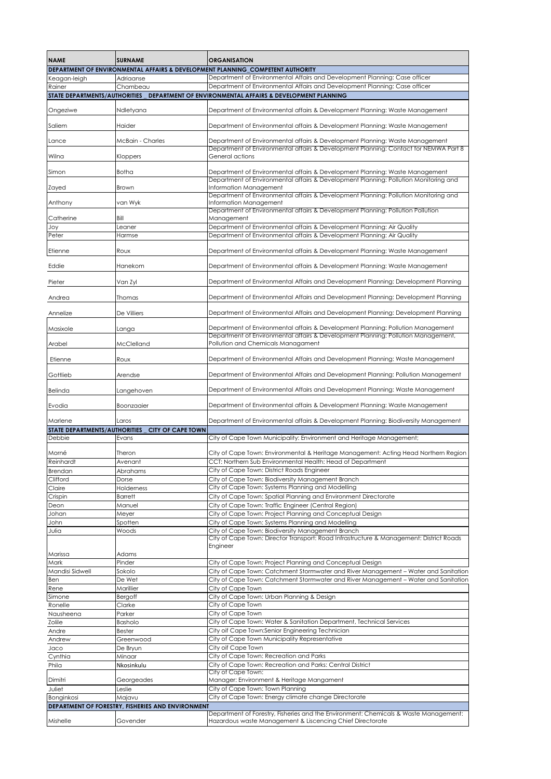| <b>NAME</b>                                                                                                                               | <b>SURNAME</b>               | <b>ORGANISATION</b>                                                                                                                                                  |  |  |
|-------------------------------------------------------------------------------------------------------------------------------------------|------------------------------|----------------------------------------------------------------------------------------------------------------------------------------------------------------------|--|--|
|                                                                                                                                           |                              | DEPARTMENT OF ENVIRONMENTAL AFFAIRS & DEVELOPMENT PLANNING_COMPETENT AUTHORITY                                                                                       |  |  |
| Keagan-leigh<br>Rainer                                                                                                                    | Adriaanse<br>Chambeau        | Department of Environmental Affairs and Development Planning: Case officer<br>Department of Environmental Affairs and Development Planning: Case officer             |  |  |
| STATE DEPARTMENTS/AUTHORITIES                                                                                                             |                              | DEPARTMENT OF ENVIRONMENTAL AFFAIRS & DEVELOPMENT PLANNING                                                                                                           |  |  |
|                                                                                                                                           |                              |                                                                                                                                                                      |  |  |
| Ongeziwe                                                                                                                                  | Ndletyana                    | Department of Environmental affairs & Development Planning: Waste Management                                                                                         |  |  |
| Saliem                                                                                                                                    | Haider                       | Department of Environmental affairs & Development Planning: Waste Management                                                                                         |  |  |
| Lance                                                                                                                                     | McBain - Charles             | Department of Environmental affairs & Development Planning: Waste Management<br>Department of Environmental affairs & Development Planning: Contact for NEMWA Part 8 |  |  |
| Wilna                                                                                                                                     | Kloppers                     | General actions                                                                                                                                                      |  |  |
| Simon                                                                                                                                     | Botha                        | Department of Environmental affairs & Development Planning: Waste Management<br>Department of Environmental affairs & Development Planning: Pollution Monitoring and |  |  |
| Zayed                                                                                                                                     | Brown                        | Information Management                                                                                                                                               |  |  |
| Anthony                                                                                                                                   | van Wyk                      | Department of Environmental affairs & Development Planning: Pollution Monitoring and<br>Information Management                                                       |  |  |
| Catherine                                                                                                                                 | Bill                         | Department of Environmental affairs & Development Planning: Pollution Pollution<br>Management                                                                        |  |  |
| Joy                                                                                                                                       | Leaner                       | Department of Environmental affairs & Development Planning: Air Quality                                                                                              |  |  |
| Peter                                                                                                                                     | Harmse                       | Department of Environmental affairs & Development Planning: Air Quality                                                                                              |  |  |
| Etienne                                                                                                                                   | Roux                         | Department of Environmental affairs & Development Planning: Waste Management                                                                                         |  |  |
| Eddie                                                                                                                                     | Hanekom                      | Department of Environmental affairs & Development Planning: Waste Management                                                                                         |  |  |
| Pieter                                                                                                                                    | Van Zyl                      | Department of Environmental Affairs and Development Planning: Development Planning                                                                                   |  |  |
| Andrea                                                                                                                                    | Thomas                       | Department of Environmental Affairs and Development Planning: Development Planning                                                                                   |  |  |
| Annelize                                                                                                                                  | De Villiers                  | Department of Environmental Affairs and Development Planning: Development Planning                                                                                   |  |  |
| Masixole                                                                                                                                  | Langa                        | Department of Environmental affairs & Development Planning: Pollution Management                                                                                     |  |  |
| Arabel                                                                                                                                    | McClelland                   | Department of Environmental affairs & Development Planning: Pollution Management,<br>Pollution and Chemicals Managament                                              |  |  |
| Etienne                                                                                                                                   | Roux                         | Department of Environmental Affairs and Development Planning: Waste Management                                                                                       |  |  |
| Gottlieb                                                                                                                                  | Arendse                      | Department of Environmental Affairs and Development Planning: Pollution Management                                                                                   |  |  |
| Belinda                                                                                                                                   | Langehoven                   | Department of Environmental Affairs and Development Planning: Waste Management                                                                                       |  |  |
| Evodia                                                                                                                                    | Boonzaaier                   | Department of Environmental affairs & Development Planning: Waste Management                                                                                         |  |  |
| Marlene                                                                                                                                   | Laros                        | Department of Environmental affairs & Development Planning: Biodiversity Management                                                                                  |  |  |
| STATE DEPARTMENTS/AUTHORITIES                                                                                                             | <b>CITY OF CAPE TOWN</b>     |                                                                                                                                                                      |  |  |
| Debbie                                                                                                                                    | Evans                        | City of Cape Town Municipality: Environment and Heritage Management;                                                                                                 |  |  |
| Morné                                                                                                                                     | Theron                       | City of Cape Town: Environmental & Heritage Management: Acting Head Northern Region                                                                                  |  |  |
| Reinhardt                                                                                                                                 | Avenant                      | CCT: Northern Sub Environmental Health: Head of Department                                                                                                           |  |  |
| <b>Brendan</b>                                                                                                                            | Abrahams                     | City of Cape Town: District Roads Engineer                                                                                                                           |  |  |
| Clifford                                                                                                                                  | Dorse                        | City of Cape Town: Biodiversity Management Branch<br>City of Cape Town: Systems Planning and Modelling                                                               |  |  |
| Claire                                                                                                                                    | Holderness<br><b>Barrett</b> | City of Cape Town: Spatial Planning and Environment Directorate                                                                                                      |  |  |
| Crispin<br>Deon                                                                                                                           | Manuel                       | City of Cape Town: Traffic Engineer (Central Region)                                                                                                                 |  |  |
| Johan                                                                                                                                     | Meyer                        | City of Cape Town: Project Planning and Conceptual Design                                                                                                            |  |  |
| John                                                                                                                                      | Spotten                      | City of Cape Town: Systems Planning and Modelling                                                                                                                    |  |  |
| Julia                                                                                                                                     | Woods                        | City of Cape Town: Biodiversity Management Branch                                                                                                                    |  |  |
|                                                                                                                                           |                              | City of Cape Town: Director Transport: Road Infrastructure & Management: District Roads                                                                              |  |  |
| Marissa                                                                                                                                   | Adams                        | Engineer                                                                                                                                                             |  |  |
| Mark                                                                                                                                      | Pinder                       | City of Cape Town: Project Planning and Conceptual Design                                                                                                            |  |  |
| Mandisi Sidwell                                                                                                                           | Sokolo                       | City of Cape Town: Catchment Stormwater and River Management - Water and Sanitation                                                                                  |  |  |
| Ben                                                                                                                                       | De Wet                       | City of Cape Town: Catchment Stormwater and River Management - Water and Sanitation                                                                                  |  |  |
| Rene                                                                                                                                      | Marillier                    | City of Cape Town                                                                                                                                                    |  |  |
| Simone                                                                                                                                    | Bergoff                      | City of Cape Town: Urban Planning & Design                                                                                                                           |  |  |
| Ronelle                                                                                                                                   | Clarke                       | City of Cape Town                                                                                                                                                    |  |  |
| Nausheena                                                                                                                                 | Parker                       | City of Cape Town                                                                                                                                                    |  |  |
| Zolile                                                                                                                                    | Basholo                      | City of Cape Town: Water & Sanitation Department, Technical Services                                                                                                 |  |  |
| Andre                                                                                                                                     | Bester                       | City oif Cape Town:Senior Engineering Technician                                                                                                                     |  |  |
| Andrew                                                                                                                                    | Greenwood                    | City of Cape Town Municipality Representative<br>City oif Cape Town                                                                                                  |  |  |
| Jaco                                                                                                                                      | De Bryun<br>Minaar           | City of Cape Town: Recreation and Parks                                                                                                                              |  |  |
| Cynthia<br>Phila                                                                                                                          | Nkosinkulu                   | City of Cape Town: Recreation and Parks: Central District                                                                                                            |  |  |
|                                                                                                                                           |                              | City of Cape Town:                                                                                                                                                   |  |  |
| Dimitri                                                                                                                                   | Georgeades                   | Manager: Environment & Heritage Mangament                                                                                                                            |  |  |
| Juliet                                                                                                                                    | Leslie                       | City of Cape Town: Town Planning                                                                                                                                     |  |  |
| Bonginkosi                                                                                                                                | Majavu                       | City of Cape Town: Energy climate change Directorate                                                                                                                 |  |  |
| DEPARTMENT OF FORESTRY, FISHERIES AND ENVIRONMENT<br>Department of Forestry, Fisheries and the Environment: Chemicals & Waste Management: |                              |                                                                                                                                                                      |  |  |
| Mishelle                                                                                                                                  | Govender                     | Hazardous waste Management & Liscencing Chief Directorate                                                                                                            |  |  |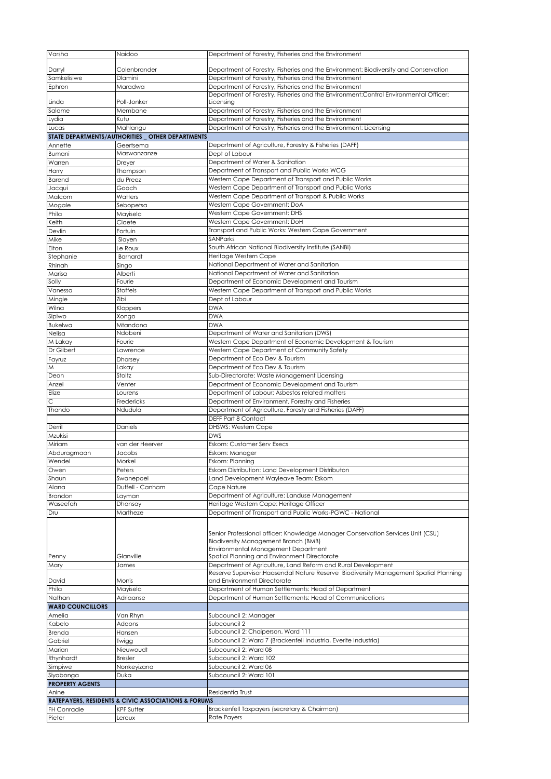| Varsha                  | Naidoo                                              | Department of Forestry, Fisheries and the Environment                                                                                                                                                          |
|-------------------------|-----------------------------------------------------|----------------------------------------------------------------------------------------------------------------------------------------------------------------------------------------------------------------|
| Darryl                  | Colenbrander                                        | Department of Forestry, Fisheries and the Environment: Biodiversity and Conservation                                                                                                                           |
| Samkelisiwe             | Dlamini                                             | Department of Forestry, Fisheries and the Environment                                                                                                                                                          |
| Ephron                  | Maradwa                                             | Department of Forestry, Fisheries and the Environment                                                                                                                                                          |
|                         |                                                     | Department of Forestry, Fisheries and the Environment:Control Environmental Officer:                                                                                                                           |
| Linda                   | Poll-Jonker                                         | Licensing                                                                                                                                                                                                      |
| Salome                  | Membane                                             | Department of Forestry, Fisheries and the Environment                                                                                                                                                          |
| Lydia                   | Kutu                                                | Department of Forestry, Fisheries and the Environment                                                                                                                                                          |
| Lucas                   | Mahlangu                                            | Department of Forestry, Fisheries and the Environment: Licensing                                                                                                                                               |
|                         | STATE DEPARTMENTS/AUTHORITIES _ OTHER DEPARTMENTS   |                                                                                                                                                                                                                |
| Annette                 | Geertsema<br>Maswanzanze                            | Department of Agriculture, Forestry & Fisheries (DAFF)                                                                                                                                                         |
| Bumani<br>Warren        | Dreyer                                              | Dept of Labour<br>Department of Water & Sanitation                                                                                                                                                             |
| Harry                   | Thompson                                            | Department of Transport and Public Works WCG                                                                                                                                                                   |
| <b>Barend</b>           | du Preez                                            | Western Cape Department of Transport and Public Works                                                                                                                                                          |
| Jacqui                  | Gooch                                               | Western Cape Department of Transport and Public Works                                                                                                                                                          |
| Malcom                  | Watters                                             | Western Cape Department of Transport & Public Works                                                                                                                                                            |
| Mogale                  | Sebopetsa                                           | Western Cape Government: DoA                                                                                                                                                                                   |
| Phila                   | Mayisela                                            | Western Cape Government: DHS                                                                                                                                                                                   |
| Keith                   | Cloete                                              | Western Cape Government: DoH                                                                                                                                                                                   |
| Devlin                  | Fortuin                                             | Transport and Public Works: Western Cape Government                                                                                                                                                            |
| Mike                    | Slayen                                              | <b>SANParks</b>                                                                                                                                                                                                |
| Elton                   | e Roux                                              | South African National Biodiversity Institute (SANBI)                                                                                                                                                          |
| Stephanie<br>Rhinah     | <b>Barnardt</b><br>Singo                            | Heritage Western Cape<br>National Department of Water and Sanitation                                                                                                                                           |
| Marisa                  | Alberti                                             | National Department of Water and Sanitation                                                                                                                                                                    |
| Solly                   | Fourie                                              | Department of Economic Development and Tourism                                                                                                                                                                 |
| Vanessa                 | Stoffels                                            | Western Cape Department of Transport and Public Works                                                                                                                                                          |
| Mingie                  | Zibi                                                | Dept of Labour                                                                                                                                                                                                 |
| Wilna                   | Kloppers                                            | <b>DWA</b>                                                                                                                                                                                                     |
| Sipiwo                  | Xongo                                               | <b>DWA</b>                                                                                                                                                                                                     |
| <b>Bukelwa</b>          | Mtandana                                            | <b>DWA</b>                                                                                                                                                                                                     |
| Nelisa                  | Ndobeni                                             | Department of Water and Sanitation (DWS)                                                                                                                                                                       |
| M Lakay<br>Dr Gilbert   | Fourie                                              | Western Cape Department of Economic Development & Tourism                                                                                                                                                      |
|                         | Lawrence                                            | Western Cape Department of Community Safety<br>Department of Eco Dev & Tourism                                                                                                                                 |
| Fayruz<br>M             | Dharsey<br>Lakay                                    | Department of Eco Dev & Tourism                                                                                                                                                                                |
| Deon                    | Stoltz                                              | Sub-Directorate: Waste Management Licensing                                                                                                                                                                    |
| Anzel                   | Venter                                              | Department of Economic Development and Tourism                                                                                                                                                                 |
| Elize                   | Lourens                                             | Department of Labour: Asbestos related matters                                                                                                                                                                 |
| С                       | Fredericks                                          | Department of Environment, Forestry and Fisheries                                                                                                                                                              |
| Thando                  | Ndudula                                             | Department of Agriculture, Foresty and Fisheries (DAFF)                                                                                                                                                        |
|                         |                                                     | DEFF Part 8 Contact                                                                                                                                                                                            |
| Derril                  | Daniels                                             | <b>DHSWS: Western Cape</b>                                                                                                                                                                                     |
| Mzukisi<br>Miriam       | van der Heerver                                     | <b>DWS</b><br>Eskom: Customer Serv Execs                                                                                                                                                                       |
| Abduragmaan             | Jacobs                                              | Eskom: Manager                                                                                                                                                                                                 |
| Wendel                  | Morkel                                              | Eskom: Planning                                                                                                                                                                                                |
| Owen                    | Peters                                              | Eskom Distribution: Land Development Distributon                                                                                                                                                               |
| Shaun                   | Swanepoel                                           | Land Development Wayleave Team: Eskom                                                                                                                                                                          |
| Alana                   | Duffell - Canham                                    | Cape Nature                                                                                                                                                                                                    |
| Brandon                 | Layman                                              | Department of Agriculture: Landuse Management                                                                                                                                                                  |
| Waseefah                | Dhansay                                             | Heritage Western Cape: Heritage Officer                                                                                                                                                                        |
| Dru                     | Martheze                                            | Department of Transport and Public Works-PGWC - National                                                                                                                                                       |
| Penny                   | Glanville                                           | Senior Professional officer: Knowledge Manager Conservation Services Unit (CSU)<br>Biodiversity Management Branch (BMB)<br>Environmental Management Department<br>Spatial Planning and Environment Directorate |
| Mary                    | James                                               | Department of Agriculture, Land Reform and Rural Development<br>Reserve Supervisor:Haasendal Nature Reserve Biodiversity Management Spatial Planning                                                           |
| David                   | Morris                                              | and Environment Directorate                                                                                                                                                                                    |
| Phila                   | Mayisela                                            | Department of Human Settlements: Head of Department                                                                                                                                                            |
| Nathan                  | Adriaanse                                           | Department of Human Settlements: Head of Communications                                                                                                                                                        |
| <b>WARD COUNCILLORS</b> |                                                     |                                                                                                                                                                                                                |
| Amelia                  | Van Rhyn                                            | Subcouncil 2: Manager                                                                                                                                                                                          |
| Kabelo                  | Adoons                                              | Subcouncil 2                                                                                                                                                                                                   |
| Brenda                  | Hansen                                              | Subcouncil 2: Chaiperson, Ward 111                                                                                                                                                                             |
| Gabriel<br>Marian       | Twigg<br>Nieuwoudt                                  | Subcouncil 2: Ward 7 (Brackenfell Industria, Everite Industria)<br>Subcouncil 2: Ward 08                                                                                                                       |
| Rhynhardt               | <b>Bresler</b>                                      | Subcouncil 2: Ward 102                                                                                                                                                                                         |
| Simpiwe                 | Nonkeyizana                                         | Subcouncil 2: Ward 06                                                                                                                                                                                          |
| Siyabonga               | Duka                                                | Subcouncil 2: Ward 101                                                                                                                                                                                         |
| <b>PROPERTY AGENTS</b>  |                                                     |                                                                                                                                                                                                                |
| Anine                   |                                                     | Residentia Trust                                                                                                                                                                                               |
|                         | RATEPAYERS, RESIDENTS & CIVIC ASSOCIATIONS & FORUMS |                                                                                                                                                                                                                |
| FH Conradie             | KPF Sutter                                          | Brackenfell Taxpayers (secretary & Chairman)                                                                                                                                                                   |
| Pieter                  | eroux                                               | Rate Payers                                                                                                                                                                                                    |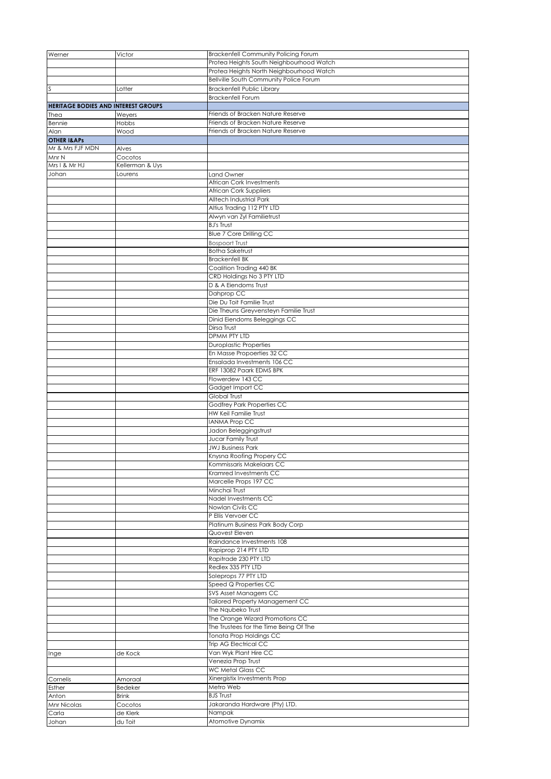| Werner                              | Victor          | Brackenfell Community Policing Forum                 |
|-------------------------------------|-----------------|------------------------------------------------------|
|                                     |                 | Protea Heights South Neighbourhood Watch             |
|                                     |                 | Protea Heights North Neighbourhood Watch             |
|                                     |                 | Bellville South Community Police Forum               |
| S                                   | Lotter          | Brackenfell Public Library                           |
|                                     |                 | <b>Brackenfell Forum</b>                             |
| HERITAGE BODIES AND INTEREST GROUPS |                 |                                                      |
| Thea                                | Weyers          | Friends of Bracken Nature Reserve                    |
| Bennie                              | Hobbs           | Friends of Bracken Nature Reserve                    |
| Alan                                | Wood            | Friends of Bracken Nature Reserve                    |
| <b>OTHER I&amp;APS</b>              |                 |                                                      |
| Mr & Mrs FJF MDN                    | Alves           |                                                      |
| Mnr N                               | Cocotos         |                                                      |
| Mrs I & Mr HJ                       | Kellerman & Uys |                                                      |
| Johan                               | Lourens         | Land Owner                                           |
|                                     |                 | African Cork Investments                             |
|                                     |                 | African Cork Suppliers                               |
|                                     |                 | Alltech Industrial Park                              |
|                                     |                 | Altius Trading 112 PTY LTD                           |
|                                     |                 | Alwyn van Zyl Familietrust                           |
|                                     |                 | <b>BJ's Trust</b>                                    |
|                                     |                 | Blue 7 Core Drilling CC                              |
|                                     |                 | <b>Bospoort Trust</b>                                |
|                                     |                 | <b>Botha Saketrust</b><br><b>Brackenfell BK</b>      |
|                                     |                 | Coalition Trading 440 BK                             |
|                                     |                 | CRD Holdings No 3 PTY LTD                            |
|                                     |                 | D & A Eiendoms Trust                                 |
|                                     |                 | Dahprop CC                                           |
|                                     |                 | Die Du Toit Familie Trust                            |
|                                     |                 | Die Theuns Greyvensteyn Familie Trust                |
|                                     |                 | Dinid Eiendoms Beleggings CC                         |
|                                     |                 | Dirsa Trust                                          |
|                                     |                 | DPMM PTY LTD                                         |
|                                     |                 | <b>Duroplastic Properties</b>                        |
|                                     |                 | En Masse Propoerties 32 CC                           |
|                                     |                 | Ensalada Investments 106 CC                          |
|                                     |                 | ERF 13082 Paark EDMS BPK                             |
|                                     |                 | Flowerdew 143 CC                                     |
|                                     |                 | Gadget Import CC                                     |
|                                     |                 | Global Trust                                         |
|                                     |                 | Godfrey Park Properties CC                           |
|                                     |                 | HW Keil Familie Trust                                |
|                                     |                 | <b>IANMA Prop CC</b>                                 |
|                                     |                 | Jadon Beleggingstrust                                |
|                                     |                 | Jucar Family Trust                                   |
|                                     |                 | <b>JWJ Business Park</b>                             |
|                                     |                 | Knysna Roofing Propery CC                            |
|                                     |                 | Kommissaris Makelaars CC                             |
|                                     |                 | Kramred Investments CC                               |
|                                     |                 | Marcelle Props 197 CC                                |
|                                     |                 | Minchai Trust                                        |
|                                     |                 | Nadel Investments CC                                 |
|                                     |                 | Nowlan Civils CC                                     |
|                                     |                 | P Ellis Vervoer CC                                   |
|                                     |                 | Platinum Business Park Body Corp                     |
|                                     |                 | Quovest Eleven                                       |
|                                     |                 | Raindance Investments 108                            |
|                                     |                 | Rapiprop 214 PTY LTD                                 |
|                                     |                 | Rapitrade 230 PTY LTD                                |
|                                     |                 | Redlex 335 PTY LTD                                   |
|                                     |                 | Soleprops 77 PTY LTD                                 |
|                                     |                 | Speed Q Properties CC                                |
|                                     |                 | SVS Asset Managerrs CC                               |
|                                     |                 | Tailored Property Management CC                      |
|                                     |                 | The Ngubeko Trust<br>The Orange Wizard Promotions CC |
|                                     |                 | The Trustees for the Time Being Of The               |
|                                     |                 | Tonata Prop Holdings CC                              |
|                                     |                 | Trip AG Electrical CC                                |
|                                     | de Kock         | Van Wyk Plant Hire CC                                |
| Inge                                |                 | Venezia Prop Trust                                   |
|                                     |                 | <b>WC Metal Glass CC</b>                             |
| Cornelis                            | Amoraal         | Xinergistix Investments Prop                         |
| Esther                              | Bedeker         | Metro Web                                            |
| Anton                               | <b>Brink</b>    | <b>BJS Trust</b>                                     |
| Mnr Nicolas                         | Cocotos         | Jakaranda Hardware (Pty) LTD.                        |
| Carla                               | de Klerk        | Nampak                                               |
| Johan                               | du Toit         | Atomotive Dynamix                                    |